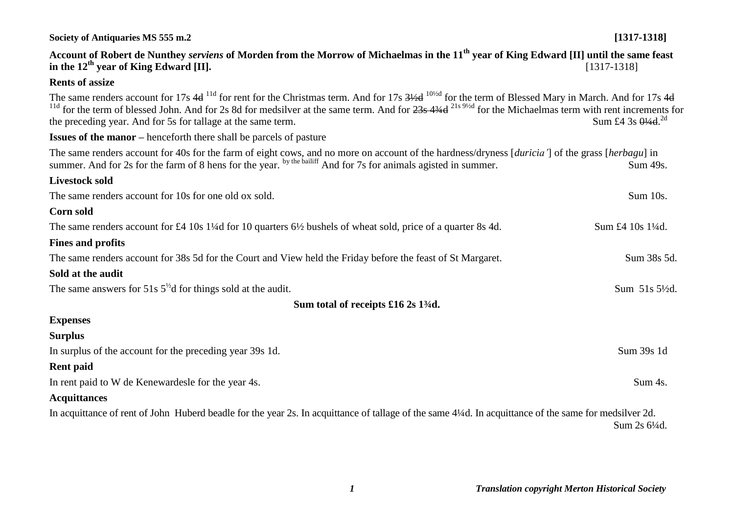# **Account of Robert de Nunthey** *serviens* **of Morden from the Morrow of Michaelmas in the 11th year of King Edward [II] until the same feast in the 12<sup>th</sup> vear of King Edward [II].** [1317-1318] **Rents of assize** The same renders account for 17s 4d <sup>11d</sup> for rent for the Christmas term. And for 17s 3½d <sup>10½d</sup> for the term of Blessed Mary in March. And for 17s 4d <sup>11d</sup> for the term of blessed John. And for 2s 8d for medsilver at the same term. And for 23s 43<sup>4d 21s 91/d</sup> for the Michaelmas term with rent increments for the preceding year. And for 5s for tallage at the same term. Sum £4.3s  $0\frac{1}{4}$ d  $^{2d}$ **Issues of the manor –** henceforth there shall be parcels of pasture The same renders account for 40s for the farm of eight cows, and no more on account of the hardness/dryness [*duricia'*] of the grass [*herbagu*] in summer. And for 2s for the farm of 8 hens for the year. by the bailiff And for 7s for animals agisted in summer. Sum 49s. **Livestock sold** The same renders account for 10s for one old ox sold. Sum 10s. **Corn sold**  The same renders account for £4 10s 1<sup>1</sup>/<sub>4</sub>d for 10 quarters 6<sup>1</sup>/<sub>2</sub> bushels of wheat sold, price of a quarter 8s 4d. Sum £4 10s 1<sup>1</sup>/<sub>4</sub>d. **Fines and profits** The same renders account for 38s 5d for the Court and View held the Friday before the feast of St Margaret. Sum 38s 5d. **Sold at the audit**  The same answers for 51s  $5^{1/2}$ d for things sold at the audit. Sum 51s 5 $\frac{1}{5}$ d. **Sum total of receipts £16 2s 1¾d. Expenses Surplus** In surplus of the account for the preceding year 39s 1d. Sum 39s 1d **Rent paid** In rent paid to W de Kenewardesle for the year 4s. Sum 4s. **Acquittances** In acquittance of rent of John Huberd beadle for the year 2s. In acquittance of tallage of the same 4¼d. In acquittance of the same for medsilver 2d. Sum 2s 6¼d.

**Society of Antiquaries MS 555 m.2 [1317-1318]**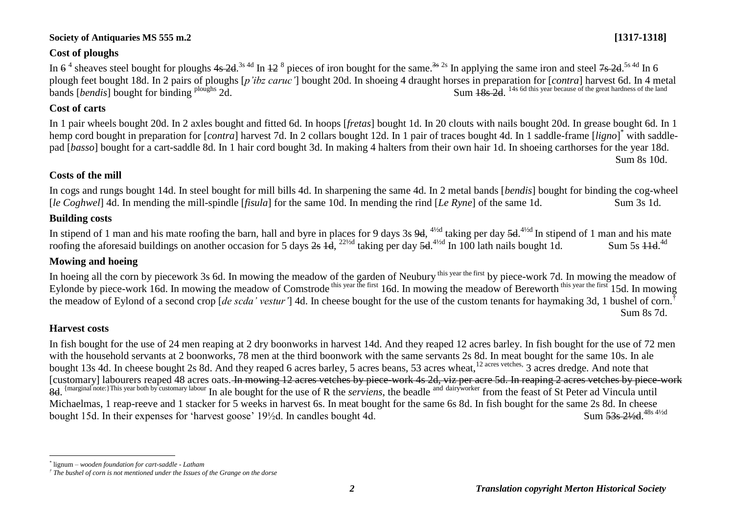## **Cost of ploughs**

In  $6^4$  sheaves steel bought for ploughs  $4s$   $2d$ .<sup>3s 4d</sup> In  $12^8$  pieces of iron bought for the same.<sup>3s 2s</sup> In applying the same iron and steel  $7s$   $2d$ .<sup>5s 4d</sup> In 6 plough feet bought 18d. In 2 pairs of ploughs [*p'ibz caruc'*] bought 20d. In shoeing 4 draught horses in preparation for [*contra*] harvest 6d. In 4 metal bands [*bendis*] bought for binding <sup>ploughs</sup> 2d.  $148$   $145$  6d this year because of the great hardness of the land<br>Sum  $18s$  2d.

## **Cost of carts**

In 1 pair wheels bought 20d. In 2 axles bought and fitted 6d. In hoops [*fretas*] bought 1d. In 20 clouts with nails bought 20d. In grease bought 6d. In 1 hemp cord bought in preparation for [*contra*] harvest 7d. In 2 collars bought 12d. In 1 pair of traces bought 4d. In 1 saddle-frame [*ligno*] \* with saddlepad [*basso*] bought for a cart-saddle 8d. In 1 hair cord bought 3d. In making 4 halters from their own hair 1d. In shoeing carthorses for the year 18d. Sum 8s 10d.

## **Costs of the mill**

In cogs and rungs bought 14d. In steel bought for mill bills 4d. In sharpening the same 4d. In 2 metal bands [*bendis*] bought for binding the cog-wheel [*le Coghwel*] 4d. In mending the mill-spindle [*fisula*] for the same 10d. In mending the rind [*Le Ryne*] of the same 1d. Sum 3s 1d.

## **Building costs**

In stipend of 1 man and his mate roofing the barn, hall and byre in places for 9 days 3s 9d, <sup>41/2d</sup> taking per day 5d.<sup>41/2d</sup> In stipend of 1 man and his mate roofing the aforesaid buildings on another occasion for 5 days  $2s$   $\frac{1}{4}d$ ,  $2^{2}/d$  taking per day  $\frac{5d}{d}$ . In 100 lath nails bought 1d. Sum 5s  $\frac{11d}{d}$ . Sum 5s  $\overline{4}$ d<sup>4d</sup>

## **Mowing and hoeing**

In hoeing all the corn by piecework 3s 6d. In mowing the meadow of the garden of Neubury this year the first by piece-work 7d. In mowing the meadow of Eylonde by piece-work 16d. In mowing the meadow of Comstrode this year the first 16d. In mowing the meadow of Bereworth this year the first 15d. In mowing the meadow of Eylond of a second crop [*de scda' vestur'*] 4d. In cheese bought for the use of the custom tenants for haymaking 3d, 1 bushel of corn.† Sum 8s 7d.

## **Harvest costs**

In fish bought for the use of 24 men reaping at 2 dry boonworks in harvest 14d. And they reaped 12 acres barley. In fish bought for the use of 72 men with the household servants at 2 boonworks, 78 men at the third boonwork with the same servants 2s 8d. In meat bought for the same 10s. In ale bought 13s 4d. In cheese bought 2s 8d. And they reaped 6 acres barley, 5 acres beans, 53 acres wheat,<sup>12 acres vetches,</sup> 3 acres dredge. And note that [customary] labourers reaped 48 acres oats. In mowing 12 acres vetches by piece-work 4s 2d, viz per acre 5d. In reaping 2 acres vetches by piece-work 8d. <sup>{marginal note:}This year both by customary labour In ale bought for the use of R the *serviens*, the beadle and dairy worker from the feast of St Peter ad Vincula until</sup> Michaelmas, 1 reap-reeve and 1 stacker for 5 weeks in harvest 6s. In meat bought for the same 6s 8d. In fish bought for the same 2s 8d. In cheese bought 15d. In their expenses for 'harvest goose'  $19\frac{1}{2}d$ . In candles bought 4d. Sum 53s 21/<sub>2</sub>d 48s 41/2d

 $\overline{a}$ *\** lignum *– wooden foundation for cart-saddle - Latham*

*<sup>†</sup> The bushel of corn is not mentioned under the Issues of the Grange on the dorse*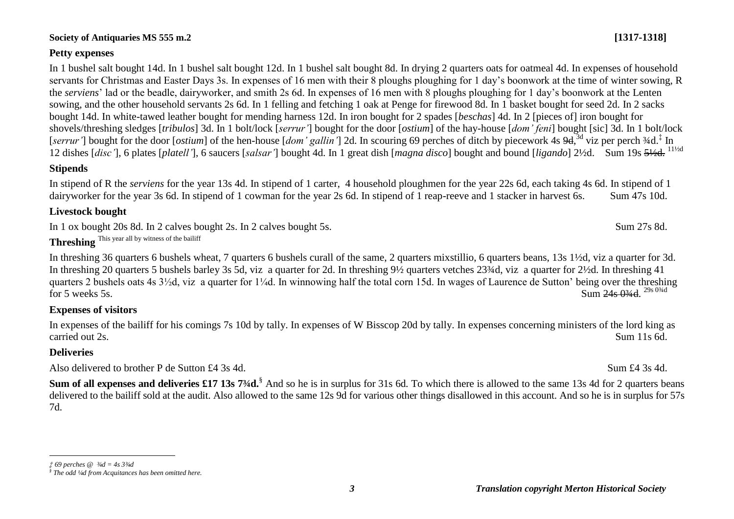#### **Petty expenses**

In 1 bushel salt bought 14d. In 1 bushel salt bought 12d. In 1 bushel salt bought 8d. In drying 2 quarters oats for oatmeal 4d. In expenses of household servants for Christmas and Easter Days 3s. In expenses of 16 men with their 8 ploughs ploughing for 1 day's boonwork at the time of winter sowing, R the *serviens*' lad or the beadle, dairyworker, and smith 2s 6d. In expenses of 16 men with 8 ploughs ploughing for 1 day's boonwork at the Lenten sowing, and the other household servants 2s 6d. In 1 felling and fetching 1 oak at Penge for firewood 8d. In 1 basket bought for seed 2d. In 2 sacks bought 14d. In white-tawed leather bought for mending harness 12d. In iron bought for 2 spades [*beschas*] 4d. In 2 [pieces of] iron bought for shovels/threshing sledges [*tribulos*] 3d. In 1 bolt/lock [*serrur'*] bought for the door [*ostium*] of the hay-house [*dom' feni*] bought [sic] 3d. In 1 bolt/lock [serrur'] bought for the door [*ostium*] of the hen-house [dom' gallin'] 2d. In scouring 69 perches of ditch by piecework 4s 9d, <sup>3d</sup> viz per perch 34d.<sup>‡</sup> In 12 dishes [*disc'*], 6 plates [*platell'*], 6 saucers [*salsar'*] bought 4d. In 1 great dish [*magna disco*] bought and bound [*ligando*] 2½d. Sum 19s 5½d. 11½d

#### **Stipends**

In stipend of R the *serviens* for the year 13s 4d. In stipend of 1 carter, 4 household ploughmen for the year 22s 6d, each taking 4s 6d. In stipend of 1 dairyworker for the year 3s 6d. In stipend of 1 cowman for the year 2s 6d. In stipend of 1 reap-reeve and 1 stacker in harvest 6s. Sum 47s 10d.

#### **Livestock bought**

In 1 ox bought 20s 8d. In 2 calves bought 2s. In 2 calves bought 5s. Sum 27s 8d.

**Threshing** This year all by witness of the bailiff

In threshing 36 quarters 6 bushels wheat, 7 quarters 6 bushels curall of the same, 2 quarters mixstillio, 6 quarters beans, 13s 1½d, viz a quarter for 3d. In threshing 20 quarters 5 bushels barley 3s 5d, viz a quarter for 2d. In threshing 9½ quarters vetches 23¾d, viz a quarter for 2½d. In threshing 41 quarters 2 bushels oats 4s 3½d, viz a quarter for 1¼d. In winnowing half the total corn 15d. In wages of Laurence de Sutton' being over the threshing for 5 weeks 5s. Sum  $24s\,034d$ . Sum 24s 03/4d 29s 03/4d

### **Expenses of visitors**

In expenses of the bailiff for his comings 7s 10d by tally. In expenses of W Bisscop 20d by tally. In expenses concerning ministers of the lord king as carried out 2s. Sum 11s 6d.

### **Deliveries**

Also delivered to brother P de Sutton £4 3s 4d. Sum £4 3s 4d.

**Sum of all expenses and deliveries £17 13s 7¾d.**§ And so he is in surplus for 31s 6d. To which there is allowed to the same 13s 4d for 2 quarters beans delivered to the bailiff sold at the audit. Also allowed to the same 12s 9d for various other things disallowed in this account. And so he is in surplus for 57s 7d.

 $\overline{a}$ *‡ 69 perches @ ¾d = 4s 3¾d*

*<sup>§</sup> The odd ¼d from Acquitances has been omitted here.*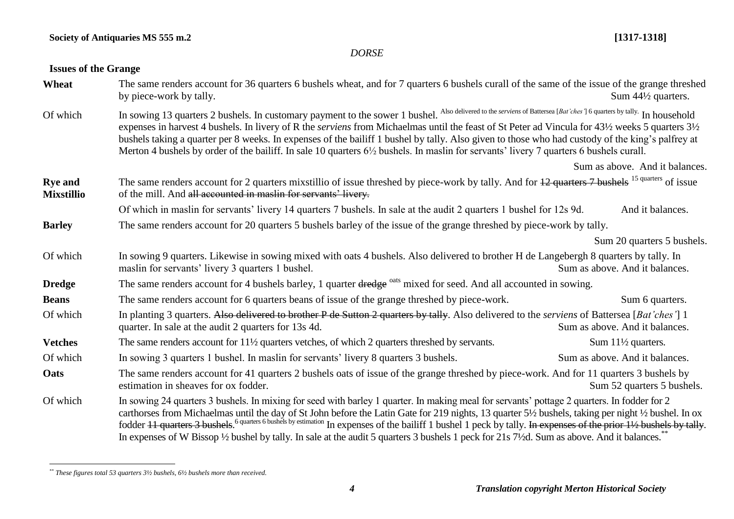#### *DORSE*

## **Issues of the Grange**

| Wheat                               | The same renders account for 36 quarters 6 bushels wheat, and for 7 quarters 6 bushels curall of the same of the issue of the grange threshed<br>by piece-work by tally.                                                                                                                                                                                                                                                                                                                                                                                                                                                            | Sum $44\frac{1}{2}$ quarters.  |  |  |  |
|-------------------------------------|-------------------------------------------------------------------------------------------------------------------------------------------------------------------------------------------------------------------------------------------------------------------------------------------------------------------------------------------------------------------------------------------------------------------------------------------------------------------------------------------------------------------------------------------------------------------------------------------------------------------------------------|--------------------------------|--|--|--|
| Of which                            | In sowing 13 quarters 2 bushels. In customary payment to the sower 1 bushel. Also delivered to the serviens of Battersea [Bat'ches'] 6 quarters by tally. In household<br>expenses in harvest 4 bushels. In livery of R the <i>serviens</i> from Michaelmas until the feast of St Peter ad Vincula for 43½ weeks 5 quarters 3½<br>bushels taking a quarter per 8 weeks. In expenses of the bailiff 1 bushel by tally. Also given to those who had custody of the king's palfrey at<br>Merton 4 bushels by order of the bailiff. In sale 10 quarters 6½ bushels. In maslin for servants' livery 7 quarters 6 bushels curall.         |                                |  |  |  |
|                                     |                                                                                                                                                                                                                                                                                                                                                                                                                                                                                                                                                                                                                                     | Sum as above. And it balances. |  |  |  |
| <b>Rye and</b><br><b>Mixstillio</b> | The same renders account for 2 quarters mixstillio of issue threshed by piece-work by tally. And for 12 quarters 7 bushels <sup>15 quarters</sup> of issue<br>of the mill. And all accounted in maslin for servants' livery.                                                                                                                                                                                                                                                                                                                                                                                                        |                                |  |  |  |
|                                     | Of which in maslin for servants' livery 14 quarters 7 bushels. In sale at the audit 2 quarters 1 bushel for 12s 9d.                                                                                                                                                                                                                                                                                                                                                                                                                                                                                                                 | And it balances.               |  |  |  |
| <b>Barley</b>                       | The same renders account for 20 quarters 5 bushels barley of the issue of the grange threshed by piece-work by tally.                                                                                                                                                                                                                                                                                                                                                                                                                                                                                                               |                                |  |  |  |
|                                     |                                                                                                                                                                                                                                                                                                                                                                                                                                                                                                                                                                                                                                     | Sum 20 quarters 5 bushels.     |  |  |  |
| Of which                            | In sowing 9 quarters. Likewise in sowing mixed with oats 4 bushels. Also delivered to brother H de Langebergh 8 quarters by tally. In<br>maslin for servants' livery 3 quarters 1 bushel.                                                                                                                                                                                                                                                                                                                                                                                                                                           | Sum as above. And it balances. |  |  |  |
| <b>Dredge</b>                       | The same renders account for 4 bushels barley, 1 quarter dredge <sup>oats</sup> mixed for seed. And all accounted in sowing.                                                                                                                                                                                                                                                                                                                                                                                                                                                                                                        |                                |  |  |  |
| <b>Beans</b>                        | The same renders account for 6 quarters beans of issue of the grange threshed by piece-work.                                                                                                                                                                                                                                                                                                                                                                                                                                                                                                                                        | Sum 6 quarters.                |  |  |  |
| Of which                            | In planting 3 quarters. Also delivered to brother P de Sutton 2 quarters by tally. Also delivered to the serviens of Battersea [Bat'ches'] 1<br>quarter. In sale at the audit 2 quarters for 13s 4d.                                                                                                                                                                                                                                                                                                                                                                                                                                | Sum as above. And it balances. |  |  |  |
| <b>Vetches</b>                      | The same renders account for $11\frac{1}{2}$ quarters vetches, of which 2 quarters threshed by servants.                                                                                                                                                                                                                                                                                                                                                                                                                                                                                                                            | Sum $11\frac{1}{2}$ quarters.  |  |  |  |
| Of which                            | In sowing 3 quarters 1 bushel. In maslin for servants' livery 8 quarters 3 bushels.                                                                                                                                                                                                                                                                                                                                                                                                                                                                                                                                                 | Sum as above. And it balances. |  |  |  |
| Oats                                | The same renders account for 41 quarters 2 bushels oats of issue of the grange threshed by piece-work. And for 11 quarters 3 bushels by<br>estimation in sheaves for ox fodder.                                                                                                                                                                                                                                                                                                                                                                                                                                                     | Sum 52 quarters 5 bushels.     |  |  |  |
| Of which                            | In sowing 24 quarters 3 bushels. In mixing for seed with barley 1 quarter. In making meal for servants' pottage 2 quarters. In fodder for 2<br>carthorses from Michaelmas until the day of St John before the Latin Gate for 219 nights, 13 quarter 5½ bushels, taking per night ½ bushel. In ox<br>fodder 11 quarters 3 bushels. <sup>6 quarters 6 bushels by estimation</sup> In expenses of the bailiff 1 bushel 1 peck by tally. In expenses of the prior 11/2 bushels by tally.<br>In expenses of W Bissop 1/2 bushel by tally. In sale at the audit 5 quarters 3 bushels 1 peck for 21s 71/2d. Sum as above. And it balances. |                                |  |  |  |

*<sup>\*\*</sup> These figures total 53 quarters 3½ bushels, 6½ bushels more than received.*

 $\overline{a}$